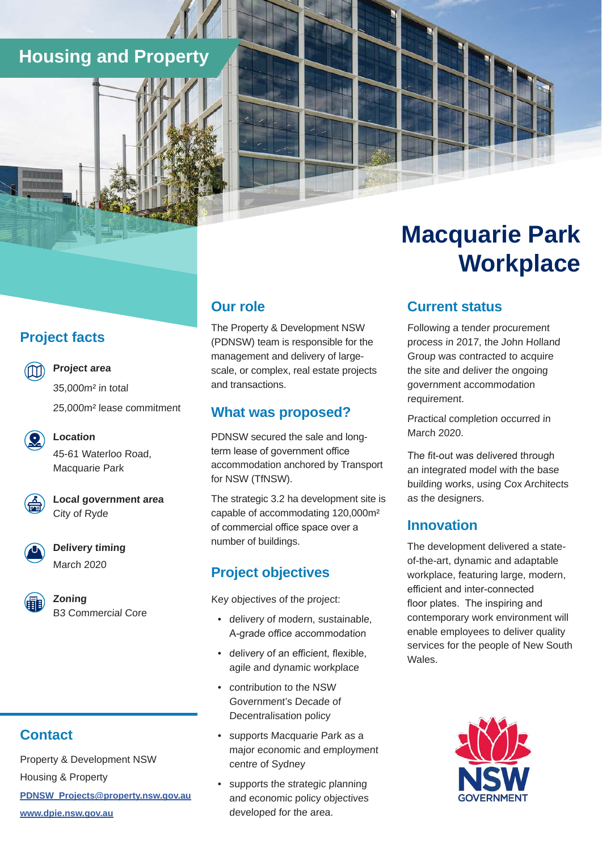### **Housing and Property**

#### **Project facts**

**Project area** 

**Location** 

35,000m² in total 25,000m² lease commitment

45-61 Waterloo Road, Macquarie Park

**Local government area**  City of Ryde



**Delivery timing**  March 2020



**Zoning**  B3 Commercial Core

### **Contact**

Property & Development NSW Housing & Property **[PDNSW\\_Projects@property.nsw.gov.au](mailto:PDNSW_Projects%40property.nsw.gov.au?subject=)  [www.dpie.nsw.gov.au](https://www.dpie.nsw.gov.au/)**

### **Our role**

The Property & Development NSW (PDNSW) team is responsible for the management and delivery of largescale, or complex, real estate projects and transactions.

#### **What was proposed?**

PDNSW secured the sale and longterm lease of government office accommodation anchored by Transport for NSW (TfNSW).

The strategic 3.2 ha development site is capable of accommodating 120,000m² of commercial office space over a number of buildings.

### **Project objectives**

Key objectives of the project:

- delivery of modern, sustainable, A-grade office accommodation
- delivery of an efficient, flexible, agile and dynamic workplace
- contribution to the NSW Government's Decade of Decentralisation policy
- supports Macquarie Park as a major economic and employment centre of Sydney
- supports the strategic planning and economic policy objectives developed for the area.

# **Macquarie Park Workplace**

### **Current status**

Following a tender procurement process in 2017, the John Holland Group was contracted to acquire the site and deliver the ongoing government accommodation requirement.

Practical completion occurred in March 2020.

The fit-out was delivered through an integrated model with the base building works, using Cox Architects as the designers.

#### **Innovation**

The development delivered a stateof-the-art, dynamic and adaptable workplace, featuring large, modern, efficient and inter-connected floor plates. The inspiring and contemporary work environment will enable employees to deliver quality services for the people of New South Wales.